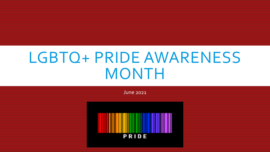# LGBTQ+ PRIDE AWARENESS MONTH

June 2021

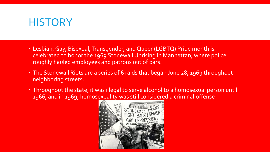### **HISTORY**

- Lesbian, Gay, Bisexual, Transgender, and Queer (LGBTQ) Pride month is celebrated to honor the 1969 Stonewall Uprising in Manhattan, where police roughly hauled employees and patrons out of bars.
- The Stonewall Riots are a series of 6 raids that began June 28, 1969 throughout neighboring streets.
- Throughout the state, it was illegal to serve alcohol to a homosexual person until 1966, and in 1969, homosexuality was still considered a criminal offense

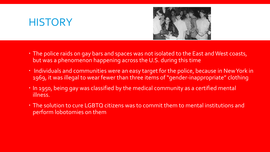### **HISTORY**



- The police raids on gay bars and spaces was not isolated to the East and West coasts, but was a phenomenon happening across the U.S. during this time
- Individuals and communities were an easy target for the police, because in New York in 1969, it was illegal to wear fewer than three items of "gender-inappropriate" clothing
- In 1950, being gay was classified by the medical community as a certified mental illness.
- The solution to cure LGBTQ citizens was to commit them to mental institutions and perform lobotomies on them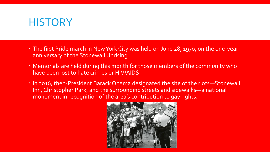### **HISTORY**

- The first Pride march in New York City was held on June 28, 1970, on the one-year anniversary of the Stonewall Uprising
- Memorials are held during this month for those members of the community who have been lost to hate crimes or HIV/AIDS.
- . In 2016, then-President Barack Obama designated the site of the riots-Stonewall Inn, Christopher Park, and the surrounding streets and sidewalks—a national monument in recognition of the area's contribution to gay rights.

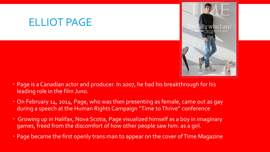## ELLIOT PAGE

- ly who I am
- Page is a Canadian actor and producer. In 2007, he had his breakthrough for his leading role in the film Juno.
- On February 14, 2014, Page, who was then presenting as female, came out as gay during a speech at the Human Rights Campaign "Time to Thrive" conference
- Growing up in Halifax, Nova Scotia, Page visualized himself as a boy in imaginary games, freed from the discomfort of how other people saw him: as a girl.
- Page became the first openly trans man to appear on the cover of Time Magazine